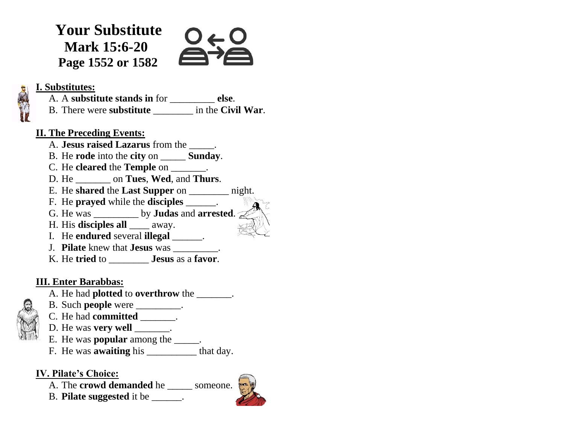**Your Substitute Mark 15:6-20 Page 1552 or 1582**



### **I. Substitutes:**

A. A **substitute stands in** for \_\_\_\_\_\_\_\_\_ **else**. B. There were **substitute** \_\_\_\_\_\_\_\_ in the **Civil War**.

### **II. The Preceding Events:**

- A. **Jesus raised Lazarus** from the \_\_\_\_\_.
- B. He **rode** into the **city** on \_\_\_\_\_ **Sunday**.
- C. He **cleared** the **Temple** on \_\_\_\_\_\_\_.
- D. He \_\_\_\_\_\_\_ on **Tues**, **Wed**, and **Thurs**.
- E. He **shared** the **Last Supper** on \_\_\_\_\_\_\_\_ night.
- F. He **prayed** while the **disciples** \_\_\_\_\_\_.
- G. He was \_\_\_\_\_\_\_\_\_ by **Judas** and **arrested**.
- H. His **disciples all** \_\_\_\_ away.
- I. He **endured** several **illegal** \_\_\_\_\_\_.
- J. **Pilate** knew that **Jesus** was \_\_\_\_\_\_\_\_\_.
- K. He **tried** to \_\_\_\_\_\_\_\_ **Jesus** as a **favor**.

# **III. Enter Barabbas:**

- A. He had **plotted** to **overthrow** the \_\_\_\_\_\_\_.
- B. Such **people** were \_\_\_\_\_\_\_\_\_.
- C. He had **committed** \_\_\_\_\_\_\_.
- D. He was **very well**  $\qquad \qquad$ .
- E. He was **popular** among the \_\_\_\_\_.
- F. He was **awaiting** his \_\_\_\_\_\_\_\_\_\_ that day.

# **IV. Pilate's Choice:**

- A. The **crowd demanded** he someone.
- B. **Pilate suggested** it be \_\_\_\_\_\_.